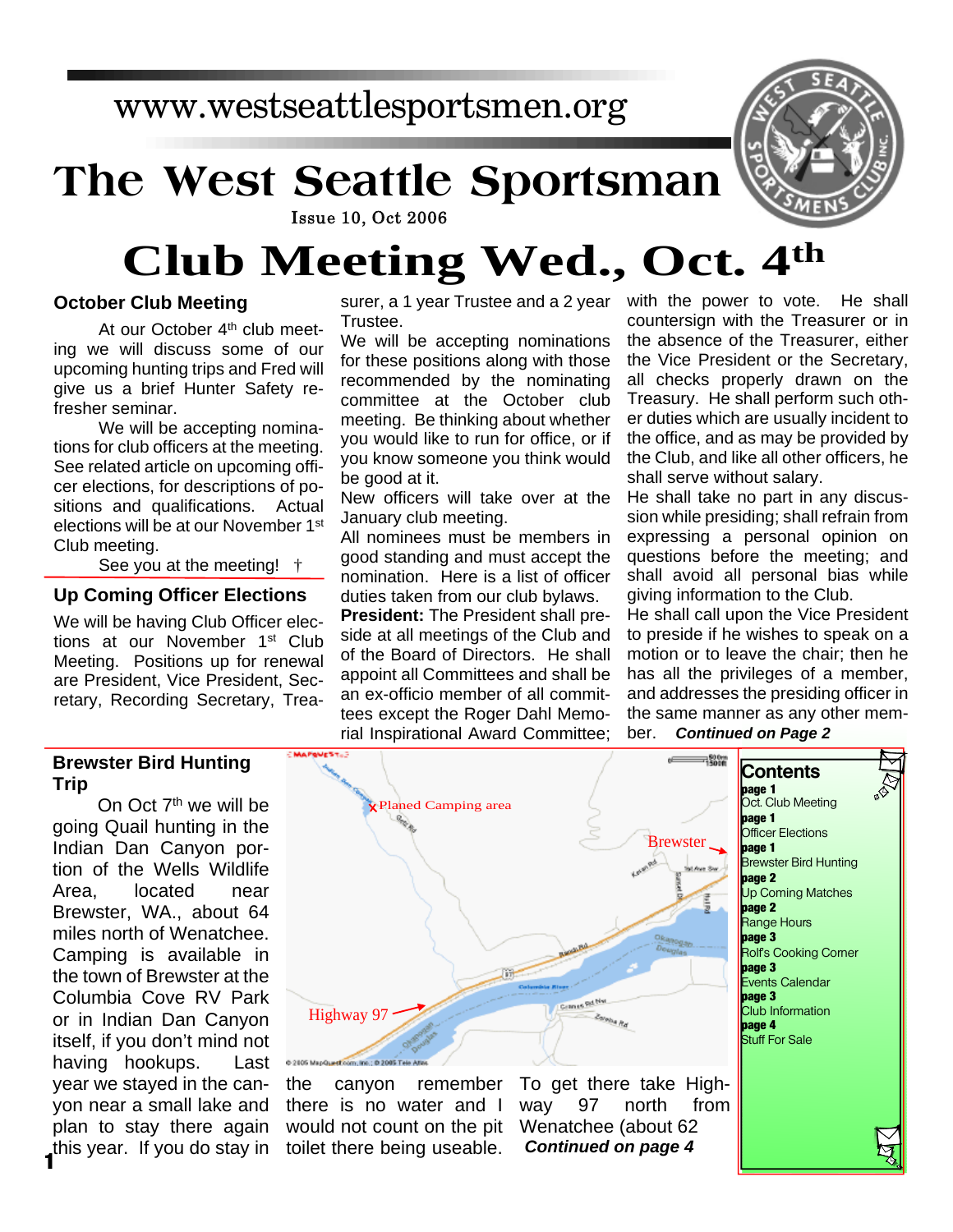## www.westseattlesportsmen.org

# **The West Seattle Sportsman**



#### **Issue 10, Oct 2006**

# **Club Meeting Wed., Oct. 4th**

#### **October Club Meeting**

At our October 4<sup>th</sup> club meeting we will discuss some of our upcoming hunting trips and Fred will give us a brief Hunter Safety refresher seminar.

We will be accepting nominations for club officers at the meeting. See related article on upcoming officer elections, for descriptions of positions and qualifications. Actual elections will be at our November 1<sup>st</sup> Club meeting.

See you at the meeting! †

#### **Up Coming Officer Elections**

We will be having Club Officer elections at our November 1<sup>st</sup> Club Meeting. Positions up for renewal are President, Vice President, Secretary, Recording Secretary, Trea-

#### **Brewster Bird Hunting Trip**

On Oct 7<sup>th</sup> we will be going Quail hunting in the Indian Dan Canyon portion of the Wells Wildlife Area, located near Brewster, WA., about 64 miles north of Wenatchee. Camping is available in the town of Brewster at the Columbia Cove RV Park or in Indian Dan Canyon itself, if you don't mind not having hookups. Last year we stayed in the canyon near a small lake and plan to stay there again this year. If you do stay in **1**

surer, a 1 year Trustee and a 2 year Trustee.

We will be accepting nominations for these positions along with those recommended by the nominating committee at the October club meeting. Be thinking about whether you would like to run for office, or if you know someone you think would be good at it.

New officers will take over at the January club meeting.

All nominees must be members in good standing and must accept the nomination. Here is a list of officer duties taken from our club bylaws.

**President:** The President shall preside at all meetings of the Club and of the Board of Directors. He shall appoint all Committees and shall be an ex-officio member of all committees except the Roger Dahl Memorial Inspirational Award Committee; with the power to vote. He shall countersign with the Treasurer or in the absence of the Treasurer, either the Vice President or the Secretary, all checks properly drawn on the Treasury. He shall perform such other duties which are usually incident to the office, and as may be provided by the Club, and like all other officers, he shall serve without salary.

He shall take no part in any discussion while presiding; shall refrain from expressing a personal opinion on questions before the meeting; and shall avoid all personal bias while giving information to the Club.

He shall call upon the Vice President to preside if he wishes to speak on a motion or to leave the chair; then he has all the privileges of a member, and addresses the presiding officer in the same manner as any other mem-

#### ber. *Continued on Page 2*

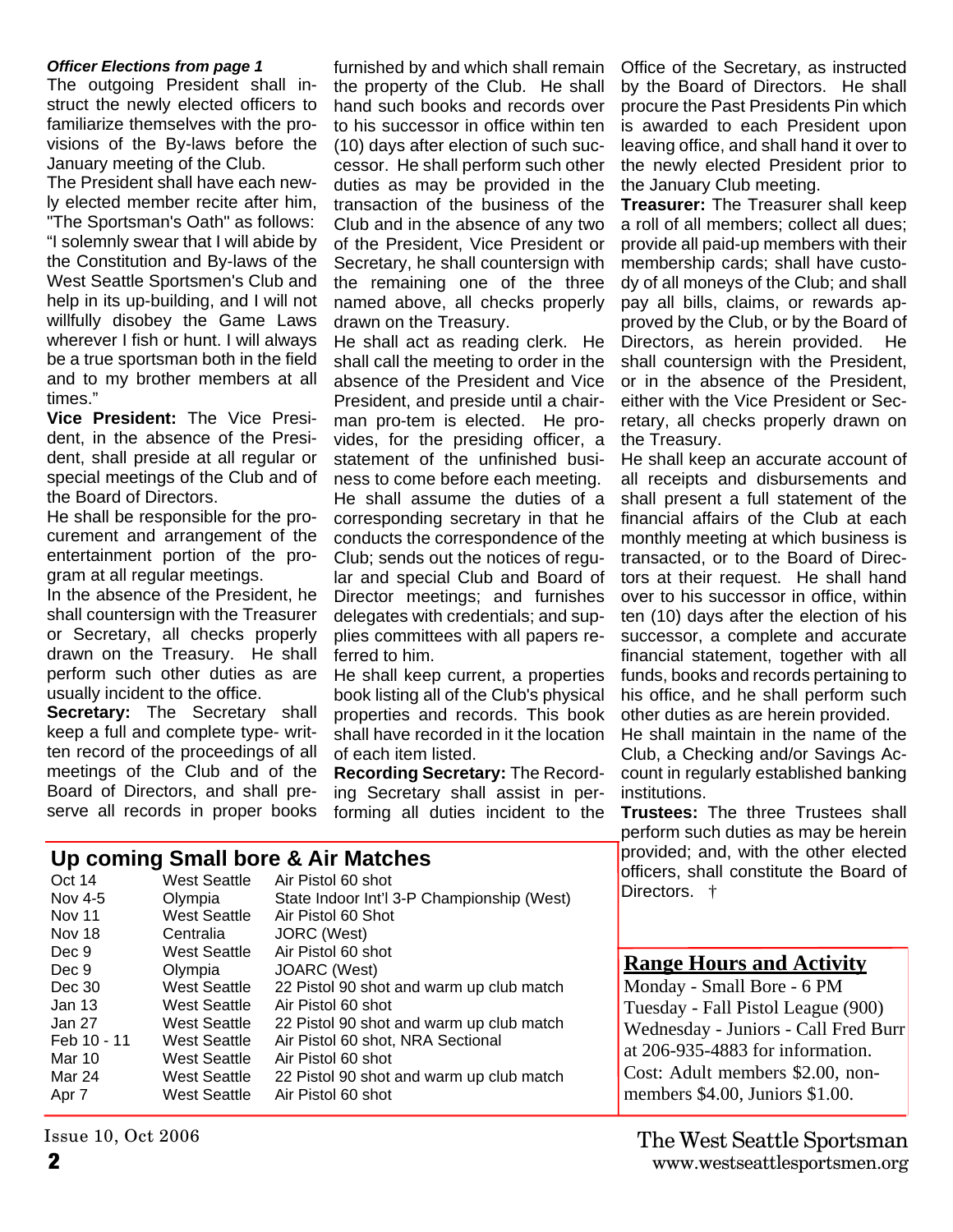#### *Officer Elections from page 1*

The outgoing President shall instruct the newly elected officers to familiarize themselves with the provisions of the By-laws before the January meeting of the Club.

The President shall have each newly elected member recite after him, "The Sportsman's Oath" as follows: "I solemnly swear that I will abide by the Constitution and By-laws of the West Seattle Sportsmen's Club and help in its up-building, and I will not willfully disobey the Game Laws wherever I fish or hunt. I will always be a true sportsman both in the field and to my brother members at all times."

**Vice President:** The Vice President, in the absence of the President, shall preside at all regular or special meetings of the Club and of the Board of Directors.

He shall be responsible for the procurement and arrangement of the entertainment portion of the program at all regular meetings.

In the absence of the President, he shall countersign with the Treasurer or Secretary, all checks properly drawn on the Treasury. He shall perform such other duties as are usually incident to the office.

**Secretary:** The Secretary shall keep a full and complete type- written record of the proceedings of all meetings of the Club and of the Board of Directors, and shall preserve all records in proper books furnished by and which shall remain the property of the Club. He shall hand such books and records over to his successor in office within ten (10) days after election of such successor. He shall perform such other duties as may be provided in the transaction of the business of the Club and in the absence of any two of the President, Vice President or Secretary, he shall countersign with the remaining one of the three named above, all checks properly drawn on the Treasury.

He shall act as reading clerk. He shall call the meeting to order in the absence of the President and Vice President, and preside until a chairman pro-tem is elected. He provides, for the presiding officer, a statement of the unfinished business to come before each meeting. He shall assume the duties of a corresponding secretary in that he conducts the correspondence of the Club; sends out the notices of regular and special Club and Board of Director meetings; and furnishes delegates with credentials; and supplies committees with all papers referred to him.

He shall keep current, a properties book listing all of the Club's physical properties and records. This book shall have recorded in it the location of each item listed.

**Recording Secretary:** The Recording Secretary shall assist in performing all duties incident to the Office of the Secretary, as instructed by the Board of Directors. He shall procure the Past Presidents Pin which is awarded to each President upon leaving office, and shall hand it over to the newly elected President prior to the January Club meeting.

**Treasurer:** The Treasurer shall keep a roll of all members; collect all dues; provide all paid-up members with their membership cards; shall have custody of all moneys of the Club; and shall pay all bills, claims, or rewards approved by the Club, or by the Board of Directors, as herein provided. He shall countersign with the President, or in the absence of the President, either with the Vice President or Secretary, all checks properly drawn on the Treasury.

He shall keep an accurate account of all receipts and disbursements and shall present a full statement of the financial affairs of the Club at each monthly meeting at which business is transacted, or to the Board of Directors at their request. He shall hand over to his successor in office, within ten (10) days after the election of his successor, a complete and accurate financial statement, together with all funds, books and records pertaining to his office, and he shall perform such other duties as are herein provided.

He shall maintain in the name of the Club, a Checking and/or Savings Account in regularly established banking institutions.

**Trustees:** The three Trustees shall perform such duties as may be herein provided; and, with the other elected officers, shall constitute the Board of Directors.  $\dagger$ 

### **Range Hours and Activity**

Monday - Small Bore - 6 PM Tuesday - Fall Pistol League (900) Wednesday - Juniors - Call Fred Burr at 206-935-4883 for information. Cost: Adult members \$2.00, nonmembers \$4.00, Juniors \$1.00.

#### **2** www.westseattlesportsmen.org The West Seattle Sportsman

#### **Up coming Small bore & Air Matches** Oct 14 West Seattle Air Pistol 60 shot

| UGL 14        | west Seathe         | AIL PISIUI OU SHUI                         |
|---------------|---------------------|--------------------------------------------|
| Nov 4-5       | Olympia             | State Indoor Int'l 3-P Championship (West) |
| <b>Nov 11</b> | <b>West Seattle</b> | Air Pistol 60 Shot                         |
| Nov 18        | Centralia           | JORC (West)                                |
| Dec 9         | West Seattle        | Air Pistol 60 shot                         |
| Dec 9         | Olympia             | JOARC (West)                               |
| Dec 30        | West Seattle        | 22 Pistol 90 shot and warm up club match   |
| Jan 13        | West Seattle        | Air Pistol 60 shot                         |
| Jan 27        | West Seattle        | 22 Pistol 90 shot and warm up club match   |
| Feb 10 - 11   | West Seattle        | Air Pistol 60 shot, NRA Sectional          |
| Mar 10        | West Seattle        | Air Pistol 60 shot                         |
| Mar 24        | West Seattle        | 22 Pistol 90 shot and warm up club match   |
| Apr 7         | West Seattle        | Air Pistol 60 shot                         |
|               |                     |                                            |

Issue 10, Oct 2006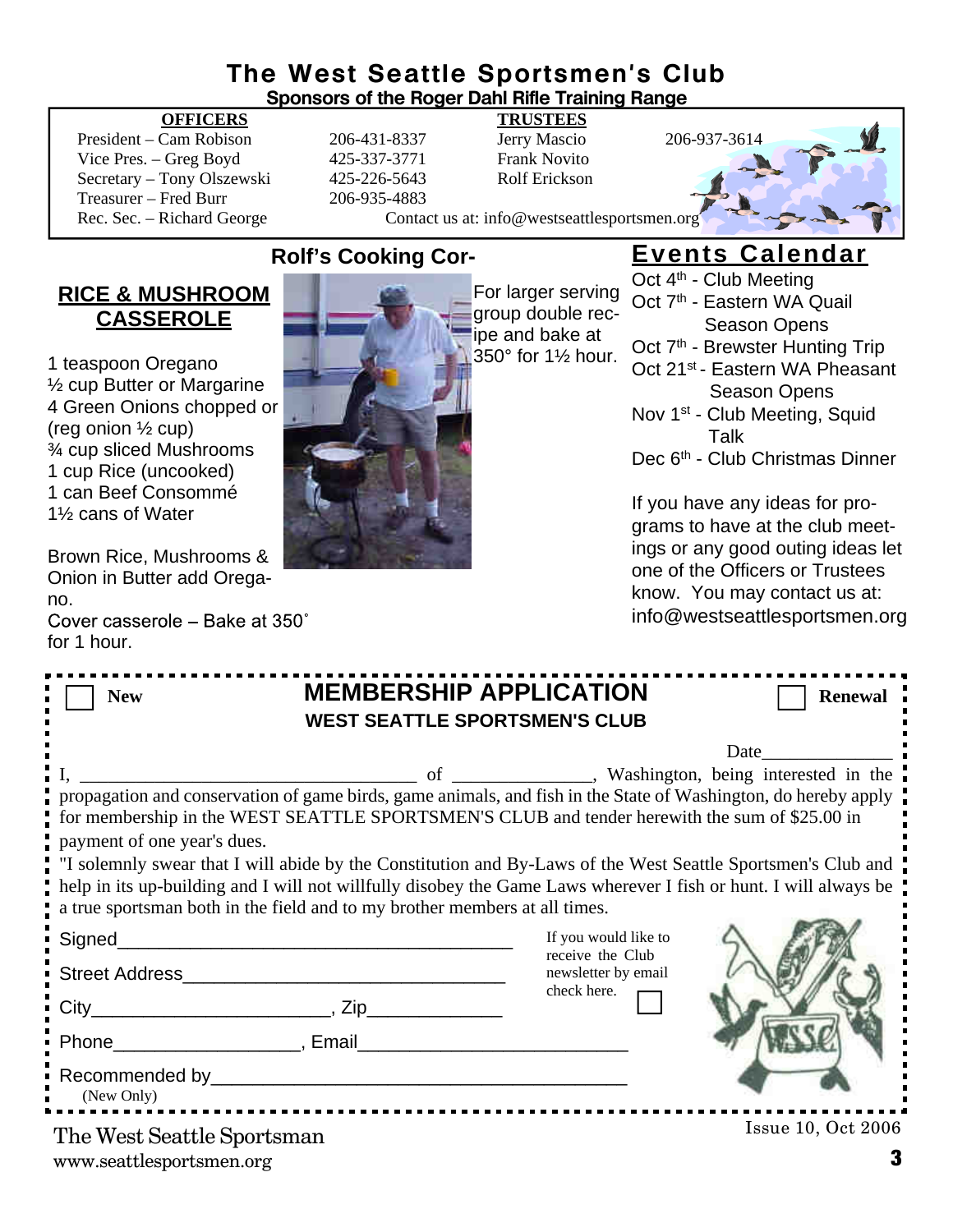## **The West Seattle Sportsmen's Club**

| THE MEST SEATHE SPOTISHIEN'S CIUD<br><b>Sponsors of the Roger Dahl Rifle Training Range</b>                                                                                                                                                                                                                                                                                                                                                                                                                                                                      |                                                              |                                                                                                                                |                                                                                                        |                                                                                                        |  |  |  |  |
|------------------------------------------------------------------------------------------------------------------------------------------------------------------------------------------------------------------------------------------------------------------------------------------------------------------------------------------------------------------------------------------------------------------------------------------------------------------------------------------------------------------------------------------------------------------|--------------------------------------------------------------|--------------------------------------------------------------------------------------------------------------------------------|--------------------------------------------------------------------------------------------------------|--------------------------------------------------------------------------------------------------------|--|--|--|--|
| <b>OFFICERS</b><br>President - Cam Robison<br>Vice Pres. - Greg Boyd<br>Secretary - Tony Olszewski<br>Treasurer - Fred Burr<br>Rec. Sec. - Richard George                                                                                                                                                                                                                                                                                                                                                                                                        | 206-431-8337<br>425-337-3771<br>425-226-5643<br>206-935-4883 | <b>TRUSTEES</b><br>Jerry Mascio<br><b>Frank Novito</b><br><b>Rolf Erickson</b><br>Contact us at: info@westseattlesportsmen.org |                                                                                                        | 206-937-3614                                                                                           |  |  |  |  |
| <b>Rolf's Cooking Cor-</b><br><b>RICE &amp; MUSHROOM</b><br>For larger serving                                                                                                                                                                                                                                                                                                                                                                                                                                                                                   |                                                              |                                                                                                                                | <b>Events Calendar</b><br>Oct 4 <sup>th</sup> - Club Meeting<br>Oct 7 <sup>th</sup> - Eastern WA Quail |                                                                                                        |  |  |  |  |
| <b>CASSEROLE</b>                                                                                                                                                                                                                                                                                                                                                                                                                                                                                                                                                 |                                                              | group double rec-<br>ipe and bake at<br>350° for 11/2 hour.                                                                    |                                                                                                        | <b>Season Opens</b><br>Oct 7 <sup>th</sup> - Brewster Hunting Trip                                     |  |  |  |  |
| 1 teaspoon Oregano<br>1/ <sub>2</sub> cup Butter or Margarine<br>4 Green Onions chopped or                                                                                                                                                                                                                                                                                                                                                                                                                                                                       |                                                              | Oct 21 <sup>st</sup> - Eastern WA Pheasant<br><b>Season Opens</b><br>Nov 1 <sup>st</sup> - Club Meeting, Squid                 |                                                                                                        |                                                                                                        |  |  |  |  |
| (reg onion $\frac{1}{2}$ cup)<br>3⁄4 cup sliced Mushrooms<br>1 cup Rice (uncooked)<br>1 can Beef Consommé<br>11/2 cans of Water                                                                                                                                                                                                                                                                                                                                                                                                                                  |                                                              |                                                                                                                                |                                                                                                        | Talk<br>Dec 6 <sup>th</sup> - Club Christmas Dinner                                                    |  |  |  |  |
|                                                                                                                                                                                                                                                                                                                                                                                                                                                                                                                                                                  |                                                              |                                                                                                                                |                                                                                                        | If you have any ideas for pro-<br>grams to have at the club meet-<br>ings or any good outing ideas let |  |  |  |  |
| Brown Rice, Mushrooms &<br>Onion in Butter add Orega-<br>no.                                                                                                                                                                                                                                                                                                                                                                                                                                                                                                     |                                                              | one of the Officers or Trustees<br>know. You may contact us at:                                                                |                                                                                                        |                                                                                                        |  |  |  |  |
| Cover casserole - Bake at 350°<br>for 1 hour.                                                                                                                                                                                                                                                                                                                                                                                                                                                                                                                    |                                                              |                                                                                                                                |                                                                                                        | info@westseattlesportsmen.org                                                                          |  |  |  |  |
| <b>MEMBERSHIP APPLICATION</b><br><b>Renewal</b><br><b>New</b><br><b>WEST SEATTLE SPORTSMEN'S CLUB</b>                                                                                                                                                                                                                                                                                                                                                                                                                                                            |                                                              |                                                                                                                                |                                                                                                        |                                                                                                        |  |  |  |  |
|                                                                                                                                                                                                                                                                                                                                                                                                                                                                                                                                                                  |                                                              |                                                                                                                                |                                                                                                        | Date                                                                                                   |  |  |  |  |
| propagation and conservation of game birds, game animals, and fish in the State of Washington, do hereby apply<br>for membership in the WEST SEATTLE SPORTSMEN'S CLUB and tender herewith the sum of \$25.00 in<br>payment of one year's dues.<br>"I solemnly swear that I will abide by the Constitution and By-Laws of the West Seattle Sportsmen's Club and<br>help in its up-building and I will not willfully disobey the Game Laws wherever I fish or hunt. I will always be<br>a true sportsman both in the field and to my brother members at all times. | of<br>$\overline{\phantom{a}}$                               | __________________, Washington, being interested in the                                                                        |                                                                                                        |                                                                                                        |  |  |  |  |
|                                                                                                                                                                                                                                                                                                                                                                                                                                                                                                                                                                  |                                                              | If you would like to<br>receive the Club                                                                                       |                                                                                                        |                                                                                                        |  |  |  |  |
|                                                                                                                                                                                                                                                                                                                                                                                                                                                                                                                                                                  | newsletter by email<br>check here.                           |                                                                                                                                |                                                                                                        |                                                                                                        |  |  |  |  |
|                                                                                                                                                                                                                                                                                                                                                                                                                                                                                                                                                                  |                                                              |                                                                                                                                |                                                                                                        |                                                                                                        |  |  |  |  |
| (New Only)                                                                                                                                                                                                                                                                                                                                                                                                                                                                                                                                                       |                                                              |                                                                                                                                |                                                                                                        |                                                                                                        |  |  |  |  |

www.seattlesportsmen.org **3** The West Seattle Sportsman

Issue 10, Oct 2006